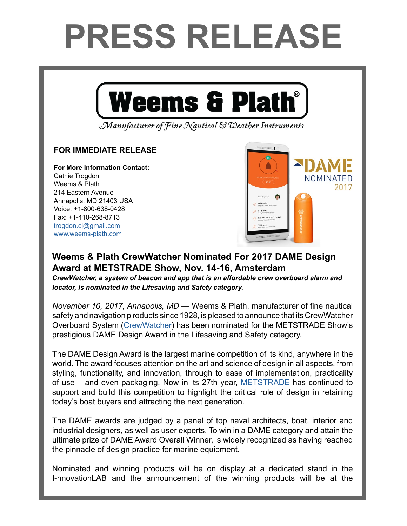## **PRESS RELEASE**



Manufacturer of Fine Nautical & Weather Instruments

## **FOR IMMEDIATE RELEASE**

**For More Information Contact:**  Cathie Trogdon Weems & Plath 214 Eastern Avenue Annapolis, MD 21403 USA Voice: +1-800-638-0428 Fax: +1-410-268-8713 [trogdon.cj@gmail.com](mailto:trogdon.cj%40gmail.com?subject=Regarding%20Press%20Release%20-%20On%20The%20Wind%20Sponsor) [www.weems-plath.com](http://www.weems-plath.com)



## **Weems & Plath CrewWatcher Nominated For 2017 DAME Design Award at METSTRADE Show, Nov. 14-16, Amsterdam**

*CrewWatcher, a system of beacon and app that is an affordable crew overboard alarm and locator, is nominated in the Lifesaving and Safety category.*

*November 10, 2017, Annapolis, MD* — Weems & Plath, manufacturer of fine nautical safety and navigation p roducts since 1928, is pleased to announce that its CrewWatcher Overboard System ([CrewWatcher](https://crewwatcher.com/)) has been nominated for the METSTRADE Show's prestigious DAME Design Award in the Lifesaving and Safety category.

The DAME Design Award is the largest marine competition of its kind, anywhere in the world. The award focuses attention on the art and science of design in all aspects, from styling, functionality, and innovation, through to ease of implementation, practicality of use – and even packaging. Now in its 27th year, [METSTRADE](https://www.metstrade.com/) has continued to support and build this competition to highlight the critical role of design in retaining today's boat buyers and attracting the next generation.

The DAME awards are judged by a panel of top naval architects, boat, interior and industrial designers, as well as user experts. To win in a DAME category and attain the ultimate prize of DAME Award Overall Winner, is widely recognized as having reached the pinnacle of design practice for marine equipment.

Nominated and winning products will be on display at a dedicated stand in the I-nnovationLAB and the announcement of the winning products will be at the